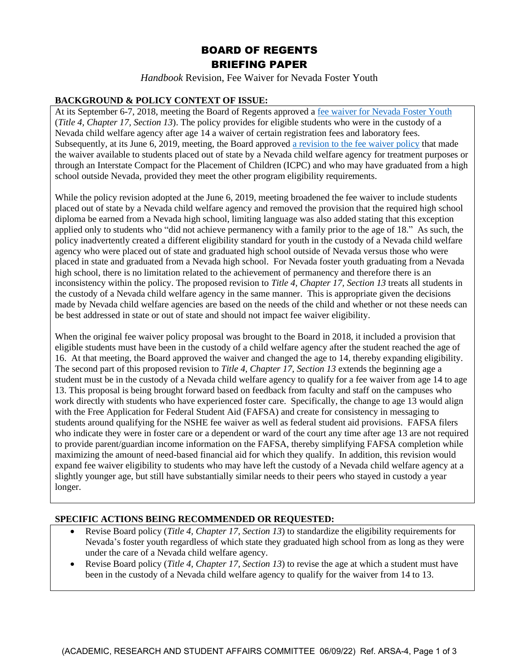# BOARD OF REGENTS BRIEFING PAPER

*Handbook* Revision, Fee Waiver for Nevada Foster Youth

#### **BACKGROUND & POLICY CONTEXT OF ISSUE:**

At its September 6-7, 2018, meeting the Board of Regents approved a [fee waiver for Nevada Foster Youth](https://nshe.nevada.edu/wp-content/uploads/file/policycentral/09-2018655%20Ref.%20BOR-11A.as%20amended.pdf) (*Title 4, Chapter 17, Section 13*). The policy provides for eligible students who were in the custody of a Nevada child welfare agency after age 14 a waiver of certain registration fees and laboratory fees. Subsequently, at its June 6, 2019, meeting, the Board approved a revision [to the fee waiver policy](https://nshe.nevada.edu/wp-content/uploads/Academic-Affairs/ARSA-13_Revised_6.6.2019.pdf) that made the waiver available to students placed out of state by a Nevada child welfare agency for treatment purposes or through an Interstate Compact for the Placement of Children (ICPC) and who may have graduated from a high school outside Nevada, provided they meet the other program eligibility requirements.

While the policy revision adopted at the June 6, 2019, meeting broadened the fee waiver to include students placed out of state by a Nevada child welfare agency and removed the provision that the required high school diploma be earned from a Nevada high school, limiting language was also added stating that this exception applied only to students who "did not achieve permanency with a family prior to the age of 18." As such, the policy inadvertently created a different eligibility standard for youth in the custody of a Nevada child welfare agency who were placed out of state and graduated high school outside of Nevada versus those who were placed in state and graduated from a Nevada high school. For Nevada foster youth graduating from a Nevada high school, there is no limitation related to the achievement of permanency and therefore there is an inconsistency within the policy. The proposed revision to *Title 4, Chapter 17, Section 13* treats all students in the custody of a Nevada child welfare agency in the same manner. This is appropriate given the decisions made by Nevada child welfare agencies are based on the needs of the child and whether or not these needs can be best addressed in state or out of state and should not impact fee waiver eligibility.

When the original fee waiver policy proposal was brought to the Board in 2018, it included a provision that eligible students must have been in the custody of a child welfare agency after the student reached the age of 16. At that meeting, the Board approved the waiver and changed the age to 14, thereby expanding eligibility. The second part of this proposed revision to *Title 4, Chapter 17, Section 13* extends the beginning age a student must be in the custody of a Nevada child welfare agency to qualify for a fee waiver from age 14 to age 13. This proposal is being brought forward based on feedback from faculty and staff on the campuses who work directly with students who have experienced foster care. Specifically, the change to age 13 would align with the Free Application for Federal Student Aid (FAFSA) and create for consistency in messaging to students around qualifying for the NSHE fee waiver as well as federal student aid provisions. FAFSA filers who indicate they were in foster care or a dependent or ward of the court any time after age 13 are not required to provide parent/guardian income information on the FAFSA, thereby simplifying FAFSA completion while maximizing the amount of need-based financial aid for which they qualify. In addition, this revision would expand fee waiver eligibility to students who may have left the custody of a Nevada child welfare agency at a slightly younger age, but still have substantially similar needs to their peers who stayed in custody a year longer.

### **SPECIFIC ACTIONS BEING RECOMMENDED OR REQUESTED:**

- Revise Board policy (*Title 4, Chapter 17, Section 13*) to standardize the eligibility requirements for Nevada's foster youth regardless of which state they graduated high school from as long as they were under the care of a Nevada child welfare agency.
- Revise Board policy (*Title 4, Chapter 17, Section 13*) to revise the age at which a student must have been in the custody of a Nevada child welfare agency to qualify for the waiver from 14 to 13.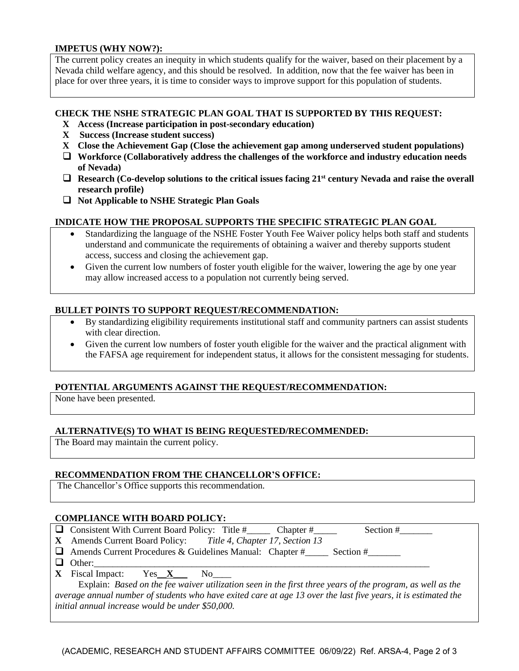#### **IMPETUS (WHY NOW?):**

The current policy creates an inequity in which students qualify for the waiver, based on their placement by a Nevada child welfare agency, and this should be resolved. In addition, now that the fee waiver has been in place for over three years, it is time to consider ways to improve support for this population of students.

#### **CHECK THE NSHE STRATEGIC PLAN GOAL THAT IS SUPPORTED BY THIS REQUEST:**

- **X Access (Increase participation in post-secondary education)**
- **X Success (Increase student success)**
- **X Close the Achievement Gap (Close the achievement gap among underserved student populations)**
- ❑ **Workforce (Collaboratively address the challenges of the workforce and industry education needs of Nevada)**
- ❑ **Research (Co-develop solutions to the critical issues facing 21st century Nevada and raise the overall research profile)**
- ❑ **Not Applicable to NSHE Strategic Plan Goals**

#### **INDICATE HOW THE PROPOSAL SUPPORTS THE SPECIFIC STRATEGIC PLAN GOAL**

- Standardizing the language of the NSHE Foster Youth Fee Waiver policy helps both staff and students understand and communicate the requirements of obtaining a waiver and thereby supports student access, success and closing the achievement gap.
- Given the current low numbers of foster youth eligible for the waiver, lowering the age by one year may allow increased access to a population not currently being served.

#### **BULLET POINTS TO SUPPORT REQUEST/RECOMMENDATION:**

- By standardizing eligibility requirements institutional staff and community partners can assist students with clear direction.
- Given the current low numbers of foster youth eligible for the waiver and the practical alignment with the FAFSA age requirement for independent status, it allows for the consistent messaging for students.

#### **POTENTIAL ARGUMENTS AGAINST THE REQUEST/RECOMMENDATION:**

None have been presented.

#### **ALTERNATIVE(S) TO WHAT IS BEING REQUESTED/RECOMMENDED:**

The Board may maintain the current policy.

#### **RECOMMENDATION FROM THE CHANCELLOR'S OFFICE:**

The Chancellor's Office supports this recommendation.

#### **COMPLIANCE WITH BOARD POLICY:**

❑ Consistent With Current Board Policy: Title #\_\_\_\_\_ Chapter #\_\_\_\_\_ Section #\_\_\_\_\_\_\_ **X** Amends Current Board Policy: *Title 4, Chapter 17, Section 13*  $\Box$  Amends Current Procedures & Guidelines Manual: Chapter # Section #

- $\Box$  Other:
- **X** Fiscal Impact: Yes\_\_**X**\_\_\_ No\_\_\_\_

 Explain: *Based on the fee waiver utilization seen in the first three years of the program, as well as the average annual number of students who have exited care at age 13 over the last five years, it is estimated the initial annual increase would be under \$50,000.*